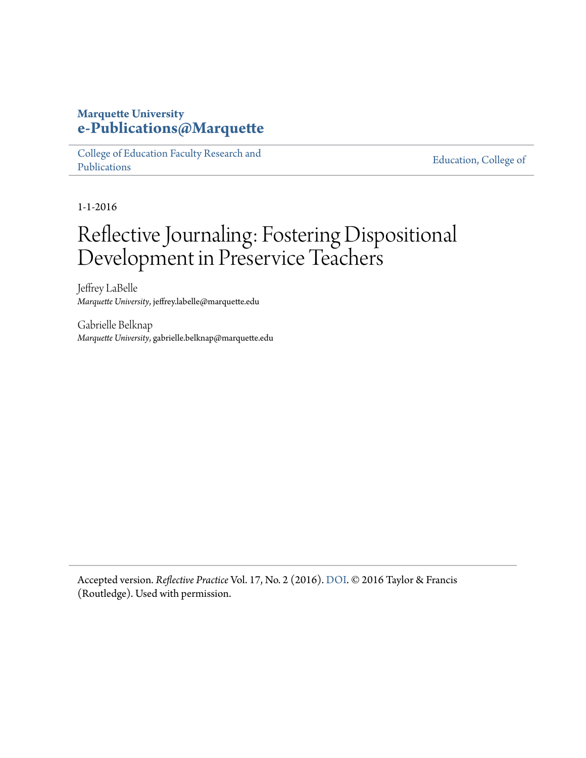## **Marquette University [e-Publications@Marquette](https://epublications.marquette.edu)**

[College of Education Faculty Research and](https://epublications.marquette.edu/edu_fac) [Publications](https://epublications.marquette.edu/edu_fac)

[Education, College of](https://epublications.marquette.edu/education)

1-1-2016

## Reflective Journaling: Fostering Dispositional Development in Preservice Teachers

Jeffrey LaBelle *Marquette University*, jeffrey.labelle@marquette.edu

Gabrielle Belknap *Marquette University*, gabrielle.belknap@marquette.edu

Accepted version. *Reflective Practice* Vol. 17, No. 2 (2016). [DOI](http://dx.doi.org/10.1080/14623943.2015.1134473). © 2016 Taylor & Francis (Routledge). Used with permission.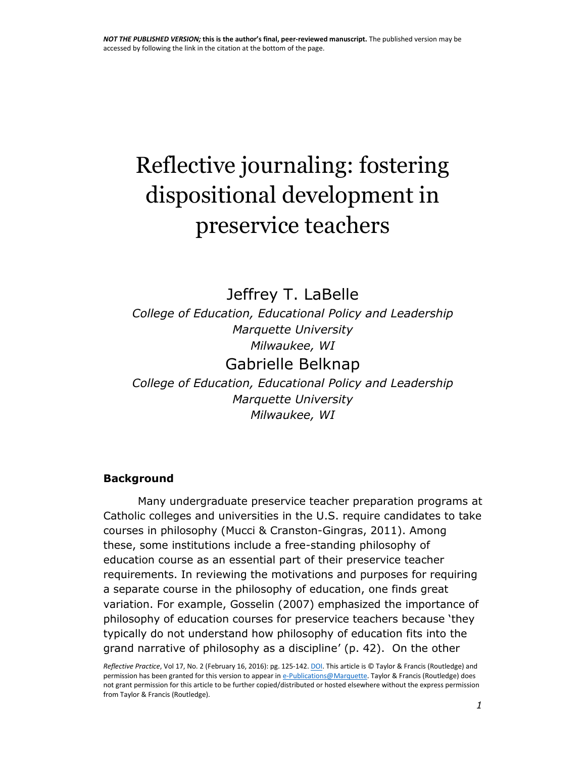# Reflective journaling: fostering dispositional development in preservice teachers

Jeffrey T. LaBelle

*College of Education, Educational Policy and Leadership Marquette University Milwaukee, WI*

#### Gabrielle Belknap

*College of Education, Educational Policy and Leadership Marquette University Milwaukee, WI*

#### **Background**

Many undergraduate preservice teacher preparation programs at Catholic colleges and universities in the U.S. require candidates to take courses in philosophy (Mucci & Cranston-Gingras, 2011). Among these, some institutions include a free-standing philosophy of education course as an essential part of their preservice teacher requirements. In reviewing the motivations and purposes for requiring a separate course in the philosophy of education, one finds great variation. For example, Gosselin (2007) emphasized the importance of philosophy of education courses for preservice teachers because 'they typically do not understand how philosophy of education fits into the grand narrative of philosophy as a discipline' (p. 42). On the other

*Reflective Practice*, Vol 17, No. 2 (February 16, 2016): pg. 125-142[. DOI.](http://dx.doi.org/10.1080/14623943.2015.1134473) This article is © Taylor & Francis (Routledge) and permission has been granted for this version to appear i[n e-Publications@Marquette.](http://epublications.marquette.edu/) Taylor & Francis (Routledge) does not grant permission for this article to be further copied/distributed or hosted elsewhere without the express permission from Taylor & Francis (Routledge).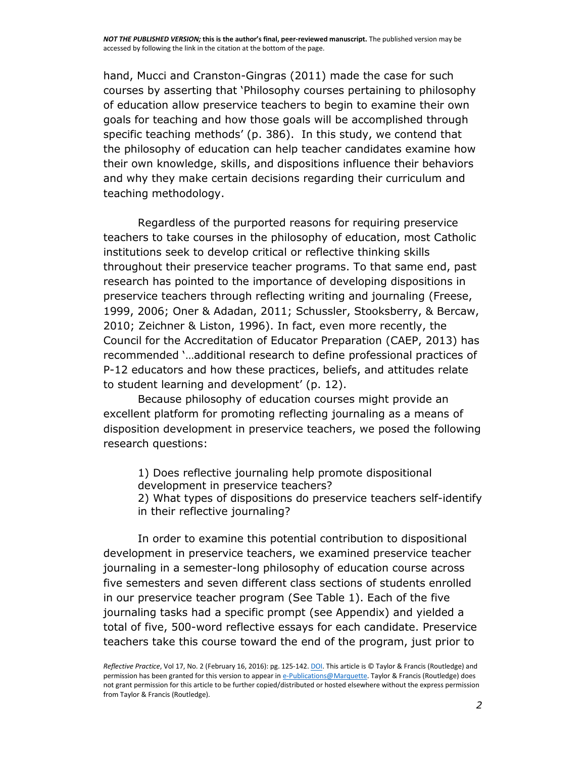hand, Mucci and Cranston-Gingras (2011) made the case for such courses by asserting that 'Philosophy courses pertaining to philosophy of education allow preservice teachers to begin to examine their own goals for teaching and how those goals will be accomplished through specific teaching methods' (p. 386). In this study, we contend that the philosophy of education can help teacher candidates examine how their own knowledge, skills, and dispositions influence their behaviors and why they make certain decisions regarding their curriculum and teaching methodology.

Regardless of the purported reasons for requiring preservice teachers to take courses in the philosophy of education, most Catholic institutions seek to develop critical or reflective thinking skills throughout their preservice teacher programs. To that same end, past research has pointed to the importance of developing dispositions in preservice teachers through reflecting writing and journaling (Freese, 1999, 2006; Oner & Adadan, 2011; Schussler, Stooksberry, & Bercaw, 2010; Zeichner & Liston, 1996). In fact, even more recently, the Council for the Accreditation of Educator Preparation (CAEP, 2013) has recommended '…additional research to define professional practices of P-12 educators and how these practices, beliefs, and attitudes relate to student learning and development' (p. 12).

Because philosophy of education courses might provide an excellent platform for promoting reflecting journaling as a means of disposition development in preservice teachers, we posed the following research questions:

- 1) Does reflective journaling help promote dispositional development in preservice teachers?
- 2) What types of dispositions do preservice teachers self-identify in their reflective journaling?

In order to examine this potential contribution to dispositional development in preservice teachers, we examined preservice teacher journaling in a semester-long philosophy of education course across five semesters and seven different class sections of students enrolled in our preservice teacher program (See Table 1). Each of the five journaling tasks had a specific prompt (see Appendix) and yielded a total of five, 500-word reflective essays for each candidate. Preservice teachers take this course toward the end of the program, just prior to

*Reflective Practice*, Vol 17, No. 2 (February 16, 2016): pg. 125-142[. DOI.](http://dx.doi.org/10.1080/14623943.2015.1134473) This article is © Taylor & Francis (Routledge) and permission has been granted for this version to appear i[n e-Publications@Marquette.](http://epublications.marquette.edu/) Taylor & Francis (Routledge) does not grant permission for this article to be further copied/distributed or hosted elsewhere without the express permission from Taylor & Francis (Routledge).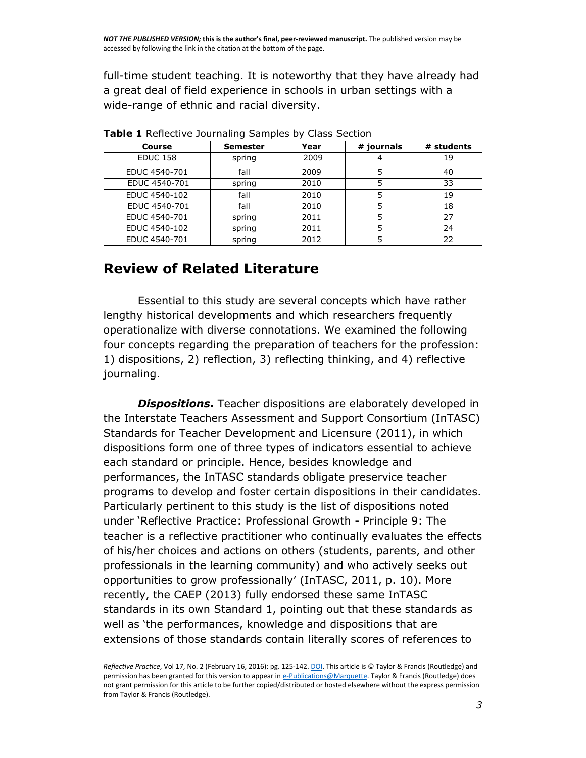full-time student teaching. It is noteworthy that they have already had a great deal of field experience in schools in urban settings with a wide-range of ethnic and racial diversity.

| <b>TWEE</b> TREASURE SOUTHOMING SUMPLES BY CROSS SECURIT |                 |      |            |            |  |  |  |
|----------------------------------------------------------|-----------------|------|------------|------------|--|--|--|
| Course                                                   | <b>Semester</b> | Year | # journals | # students |  |  |  |
| <b>EDUC 158</b>                                          | spring          | 2009 |            | 19         |  |  |  |
| EDUC 4540-701                                            | fall            | 2009 | 5          | 40         |  |  |  |
| EDUC 4540-701                                            | spring          | 2010 |            | 33         |  |  |  |
| EDUC 4540-102                                            | fall            | 2010 |            | 19         |  |  |  |
| EDUC 4540-701                                            | fall            | 2010 |            | 18         |  |  |  |
| EDUC 4540-701                                            | spring          | 2011 |            | 27         |  |  |  |
| EDUC 4540-102                                            | spring          | 2011 | 5          | 24         |  |  |  |
| EDUC 4540-701                                            | spring          | 2012 |            | 22         |  |  |  |

**Table 1** Reflective Journaling Samples by Class Section

#### **Review of Related Literature**

Essential to this study are several concepts which have rather lengthy historical developments and which researchers frequently operationalize with diverse connotations. We examined the following four concepts regarding the preparation of teachers for the profession: 1) dispositions, 2) reflection, 3) reflecting thinking, and 4) reflective journaling.

**Dispositions.** Teacher dispositions are elaborately developed in the Interstate Teachers Assessment and Support Consortium (InTASC) Standards for Teacher Development and Licensure (2011), in which dispositions form one of three types of indicators essential to achieve each standard or principle. Hence, besides knowledge and performances, the InTASC standards obligate preservice teacher programs to develop and foster certain dispositions in their candidates. Particularly pertinent to this study is the list of dispositions noted under 'Reflective Practice: Professional Growth - Principle 9: The teacher is a reflective practitioner who continually evaluates the effects of his/her choices and actions on others (students, parents, and other professionals in the learning community) and who actively seeks out opportunities to grow professionally' (InTASC, 2011, p. 10). More recently, the CAEP (2013) fully endorsed these same InTASC standards in its own Standard 1, pointing out that these standards as well as 'the performances, knowledge and dispositions that are extensions of those standards contain literally scores of references to

*Reflective Practice*, Vol 17, No. 2 (February 16, 2016): pg. 125-142[. DOI.](http://dx.doi.org/10.1080/14623943.2015.1134473) This article is © Taylor & Francis (Routledge) and permission has been granted for this version to appear i[n e-Publications@Marquette.](http://epublications.marquette.edu/) Taylor & Francis (Routledge) does not grant permission for this article to be further copied/distributed or hosted elsewhere without the express permission from Taylor & Francis (Routledge).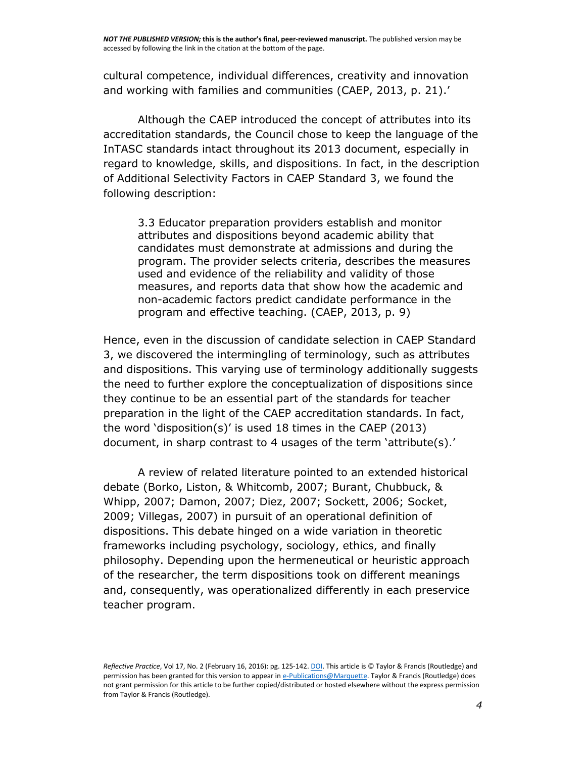cultural competence, individual differences, creativity and innovation and working with families and communities (CAEP, 2013, p. 21).'

Although the CAEP introduced the concept of attributes into its accreditation standards, the Council chose to keep the language of the InTASC standards intact throughout its 2013 document, especially in regard to knowledge, skills, and dispositions. In fact, in the description of Additional Selectivity Factors in CAEP Standard 3, we found the following description:

3.3 Educator preparation providers establish and monitor attributes and dispositions beyond academic ability that candidates must demonstrate at admissions and during the program. The provider selects criteria, describes the measures used and evidence of the reliability and validity of those measures, and reports data that show how the academic and non-academic factors predict candidate performance in the program and effective teaching. (CAEP, 2013, p. 9)

Hence, even in the discussion of candidate selection in CAEP Standard 3, we discovered the intermingling of terminology, such as attributes and dispositions. This varying use of terminology additionally suggests the need to further explore the conceptualization of dispositions since they continue to be an essential part of the standards for teacher preparation in the light of the CAEP accreditation standards. In fact, the word 'disposition(s)' is used 18 times in the CAEP (2013) document, in sharp contrast to 4 usages of the term 'attribute(s).'

A review of related literature pointed to an extended historical debate (Borko, Liston, & Whitcomb, 2007; Burant, Chubbuck, & Whipp, 2007; Damon, 2007; Diez, 2007; Sockett, 2006; Socket, 2009; Villegas, 2007) in pursuit of an operational definition of dispositions. This debate hinged on a wide variation in theoretic frameworks including psychology, sociology, ethics, and finally philosophy. Depending upon the hermeneutical or heuristic approach of the researcher, the term dispositions took on different meanings and, consequently, was operationalized differently in each preservice teacher program.

*Reflective Practice*, Vol 17, No. 2 (February 16, 2016): pg. 125-142[. DOI.](http://dx.doi.org/10.1080/14623943.2015.1134473) This article is © Taylor & Francis (Routledge) and permission has been granted for this version to appear i[n e-Publications@Marquette.](http://epublications.marquette.edu/) Taylor & Francis (Routledge) does not grant permission for this article to be further copied/distributed or hosted elsewhere without the express permission from Taylor & Francis (Routledge).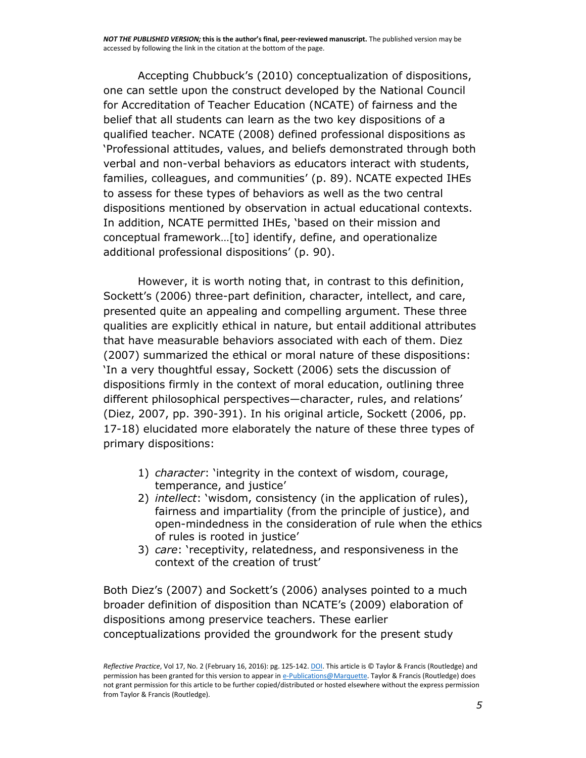Accepting Chubbuck's (2010) conceptualization of dispositions, one can settle upon the construct developed by the National Council for Accreditation of Teacher Education (NCATE) of fairness and the belief that all students can learn as the two key dispositions of a qualified teacher. NCATE (2008) defined professional dispositions as 'Professional attitudes, values, and beliefs demonstrated through both verbal and non-verbal behaviors as educators interact with students, families, colleagues, and communities' (p. 89). NCATE expected IHEs to assess for these types of behaviors as well as the two central dispositions mentioned by observation in actual educational contexts. In addition, NCATE permitted IHEs, 'based on their mission and conceptual framework…[to] identify, define, and operationalize additional professional dispositions' (p. 90).

However, it is worth noting that, in contrast to this definition, Sockett's (2006) three-part definition, character, intellect, and care, presented quite an appealing and compelling argument. These three qualities are explicitly ethical in nature, but entail additional attributes that have measurable behaviors associated with each of them. Diez (2007) summarized the ethical or moral nature of these dispositions: 'In a very thoughtful essay, Sockett (2006) sets the discussion of dispositions firmly in the context of moral education, outlining three different philosophical perspectives—character, rules, and relations' (Diez, 2007, pp. 390-391). In his original article, Sockett (2006, pp. 17-18) elucidated more elaborately the nature of these three types of primary dispositions:

- 1) *character*: 'integrity in the context of wisdom, courage, temperance, and justice'
- 2) *intellect*: 'wisdom, consistency (in the application of rules), fairness and impartiality (from the principle of justice), and open-mindedness in the consideration of rule when the ethics of rules is rooted in justice'
- 3) *care*: 'receptivity, relatedness, and responsiveness in the context of the creation of trust'

Both Diez's (2007) and Sockett's (2006) analyses pointed to a much broader definition of disposition than NCATE's (2009) elaboration of dispositions among preservice teachers. These earlier conceptualizations provided the groundwork for the present study

*Reflective Practice*, Vol 17, No. 2 (February 16, 2016): pg. 125-142[. DOI.](http://dx.doi.org/10.1080/14623943.2015.1134473) This article is © Taylor & Francis (Routledge) and permission has been granted for this version to appear i[n e-Publications@Marquette.](http://epublications.marquette.edu/) Taylor & Francis (Routledge) does not grant permission for this article to be further copied/distributed or hosted elsewhere without the express permission from Taylor & Francis (Routledge).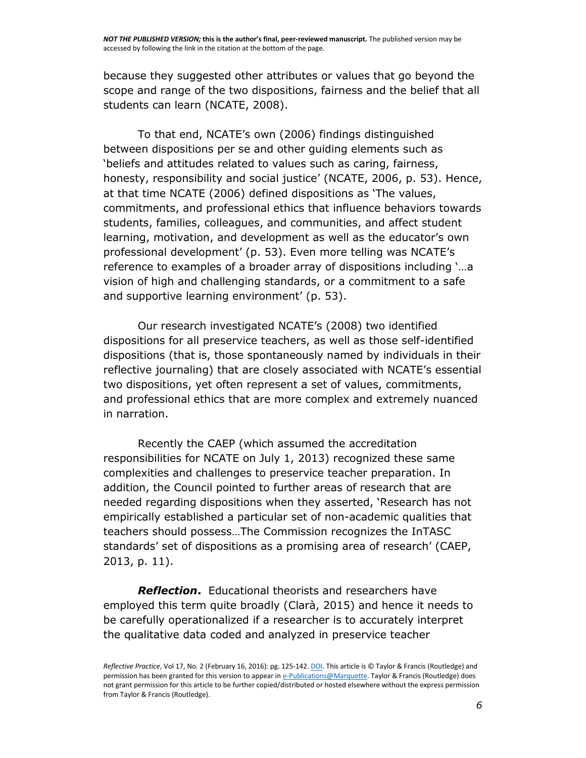because they suggested other attributes or values that go beyond the scope and range of the two dispositions, fairness and the belief that all students can learn (NCATE, 2008).

To that end, NCATE's own (2006) findings distinguished between dispositions per se and other guiding elements such as 'beliefs and attitudes related to values such as caring, fairness, honesty, responsibility and social justice' (NCATE, 2006, p. 53). Hence, at that time NCATE (2006) defined dispositions as 'The values, commitments, and professional ethics that influence behaviors towards students, families, colleagues, and communities, and affect student learning, motivation, and development as well as the educator's own professional development' (p. 53). Even more telling was NCATE's reference to examples of a broader array of dispositions including '…a vision of high and challenging standards, or a commitment to a safe and supportive learning environment' (p. 53).

Our research investigated NCATE's (2008) two identified dispositions for all preservice teachers, as well as those self-identified dispositions (that is, those spontaneously named by individuals in their reflective journaling) that are closely associated with NCATE's essential two dispositions, yet often represent a set of values, commitments, and professional ethics that are more complex and extremely nuanced in narration.

Recently the CAEP (which assumed the accreditation responsibilities for NCATE on July 1, 2013) recognized these same complexities and challenges to preservice teacher preparation. In addition, the Council pointed to further areas of research that are needed regarding dispositions when they asserted, 'Research has not empirically established a particular set of non-academic qualities that teachers should possess…The Commission recognizes the InTASC standards' set of dispositions as a promising area of research' (CAEP, 2013, p. 11).

*Reflection***.** Educational theorists and researchers have employed this term quite broadly (Clarà, 2015) and hence it needs to be carefully operationalized if a researcher is to accurately interpret the qualitative data coded and analyzed in preservice teacher

*Reflective Practice*, Vol 17, No. 2 (February 16, 2016): pg. 125-142[. DOI.](http://dx.doi.org/10.1080/14623943.2015.1134473) This article is © Taylor & Francis (Routledge) and permission has been granted for this version to appear i[n e-Publications@Marquette.](http://epublications.marquette.edu/) Taylor & Francis (Routledge) does not grant permission for this article to be further copied/distributed or hosted elsewhere without the express permission from Taylor & Francis (Routledge).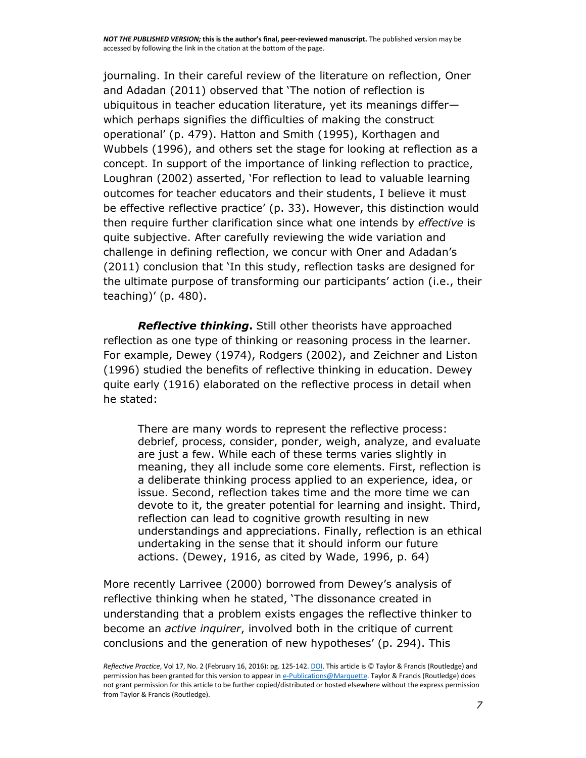journaling. In their careful review of the literature on reflection, Oner and Adadan (2011) observed that 'The notion of reflection is ubiquitous in teacher education literature, yet its meanings differ which perhaps signifies the difficulties of making the construct operational' (p. 479). Hatton and Smith (1995), Korthagen and Wubbels (1996), and others set the stage for looking at reflection as a concept. In support of the importance of linking reflection to practice, Loughran (2002) asserted, 'For reflection to lead to valuable learning outcomes for teacher educators and their students, I believe it must be effective reflective practice' (p. 33). However, this distinction would then require further clarification since what one intends by *effective* is quite subjective. After carefully reviewing the wide variation and challenge in defining reflection, we concur with Oner and Adadan's (2011) conclusion that 'In this study, reflection tasks are designed for the ultimate purpose of transforming our participants' action (i.e., their teaching)' (p. 480).

*Reflective thinking***.** Still other theorists have approached reflection as one type of thinking or reasoning process in the learner. For example, Dewey (1974), Rodgers (2002), and Zeichner and Liston (1996) studied the benefits of reflective thinking in education. Dewey quite early (1916) elaborated on the reflective process in detail when he stated:

There are many words to represent the reflective process: debrief, process, consider, ponder, weigh, analyze, and evaluate are just a few. While each of these terms varies slightly in meaning, they all include some core elements. First, reflection is a deliberate thinking process applied to an experience, idea, or issue. Second, reflection takes time and the more time we can devote to it, the greater potential for learning and insight. Third, reflection can lead to cognitive growth resulting in new understandings and appreciations. Finally, reflection is an ethical undertaking in the sense that it should inform our future actions. (Dewey, 1916, as cited by Wade, 1996, p. 64)

More recently Larrivee (2000) borrowed from Dewey's analysis of reflective thinking when he stated, 'The dissonance created in understanding that a problem exists engages the reflective thinker to become an *active inquirer*, involved both in the critique of current conclusions and the generation of new hypotheses' (p. 294). This

*Reflective Practice*, Vol 17, No. 2 (February 16, 2016): pg. 125-142[. DOI.](http://dx.doi.org/10.1080/14623943.2015.1134473) This article is © Taylor & Francis (Routledge) and permission has been granted for this version to appear i[n e-Publications@Marquette.](http://epublications.marquette.edu/) Taylor & Francis (Routledge) does not grant permission for this article to be further copied/distributed or hosted elsewhere without the express permission from Taylor & Francis (Routledge).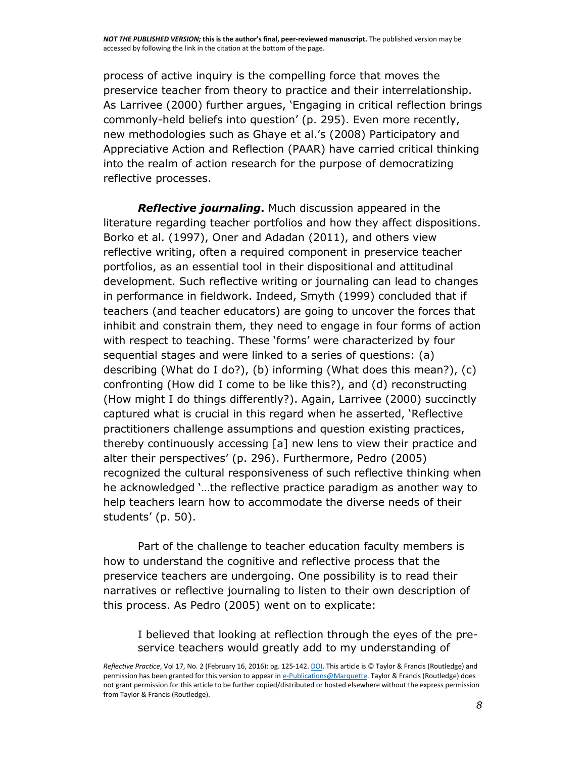process of active inquiry is the compelling force that moves the preservice teacher from theory to practice and their interrelationship. As Larrivee (2000) further argues, 'Engaging in critical reflection brings commonly-held beliefs into question' (p. 295). Even more recently, new methodologies such as Ghaye et al.'s (2008) Participatory and Appreciative Action and Reflection (PAAR) have carried critical thinking into the realm of action research for the purpose of democratizing reflective processes.

*Reflective journaling***.** Much discussion appeared in the literature regarding teacher portfolios and how they affect dispositions. Borko et al. (1997), Oner and Adadan (2011), and others view reflective writing, often a required component in preservice teacher portfolios, as an essential tool in their dispositional and attitudinal development. Such reflective writing or journaling can lead to changes in performance in fieldwork. Indeed, Smyth (1999) concluded that if teachers (and teacher educators) are going to uncover the forces that inhibit and constrain them, they need to engage in four forms of action with respect to teaching. These 'forms' were characterized by four sequential stages and were linked to a series of questions: (a) describing (What do I do?), (b) informing (What does this mean?), (c) confronting (How did I come to be like this?), and (d) reconstructing (How might I do things differently?). Again, Larrivee (2000) succinctly captured what is crucial in this regard when he asserted, 'Reflective practitioners challenge assumptions and question existing practices, thereby continuously accessing [a] new lens to view their practice and alter their perspectives' (p. 296). Furthermore, Pedro (2005) recognized the cultural responsiveness of such reflective thinking when he acknowledged '…the reflective practice paradigm as another way to help teachers learn how to accommodate the diverse needs of their students' (p. 50).

Part of the challenge to teacher education faculty members is how to understand the cognitive and reflective process that the preservice teachers are undergoing. One possibility is to read their narratives or reflective journaling to listen to their own description of this process. As Pedro (2005) went on to explicate:

I believed that looking at reflection through the eyes of the preservice teachers would greatly add to my understanding of

*Reflective Practice*, Vol 17, No. 2 (February 16, 2016): pg. 125-142[. DOI.](http://dx.doi.org/10.1080/14623943.2015.1134473) This article is © Taylor & Francis (Routledge) and permission has been granted for this version to appear i[n e-Publications@Marquette.](http://epublications.marquette.edu/) Taylor & Francis (Routledge) does not grant permission for this article to be further copied/distributed or hosted elsewhere without the express permission from Taylor & Francis (Routledge).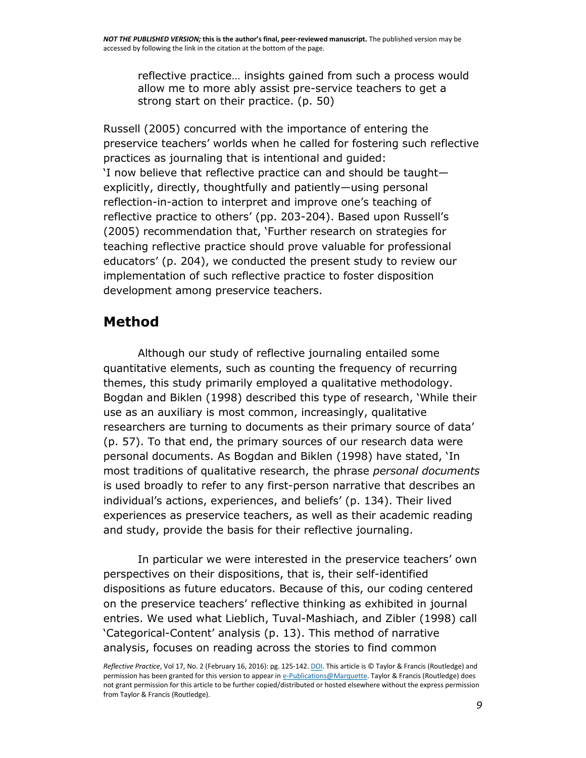reflective practice… insights gained from such a process would allow me to more ably assist pre-service teachers to get a strong start on their practice. (p. 50)

Russell (2005) concurred with the importance of entering the preservice teachers' worlds when he called for fostering such reflective practices as journaling that is intentional and guided: 'I now believe that reflective practice can and should be taught explicitly, directly, thoughtfully and patiently—using personal reflection-in-action to interpret and improve one's teaching of reflective practice to others' (pp. 203-204). Based upon Russell's (2005) recommendation that, 'Further research on strategies for teaching reflective practice should prove valuable for professional educators' (p. 204), we conducted the present study to review our implementation of such reflective practice to foster disposition development among preservice teachers.

## **Method**

Although our study of reflective journaling entailed some quantitative elements, such as counting the frequency of recurring themes, this study primarily employed a qualitative methodology. Bogdan and Biklen (1998) described this type of research, 'While their use as an auxiliary is most common, increasingly, qualitative researchers are turning to documents as their primary source of data' (p. 57). To that end, the primary sources of our research data were personal documents. As Bogdan and Biklen (1998) have stated, 'In most traditions of qualitative research, the phrase *personal documents* is used broadly to refer to any first-person narrative that describes an individual's actions, experiences, and beliefs' (p. 134). Their lived experiences as preservice teachers, as well as their academic reading and study, provide the basis for their reflective journaling.

In particular we were interested in the preservice teachers' own perspectives on their dispositions, that is, their self-identified dispositions as future educators. Because of this, our coding centered on the preservice teachers' reflective thinking as exhibited in journal entries. We used what Lieblich, Tuval-Mashiach, and Zibler (1998) call 'Categorical-Content' analysis (p. 13). This method of narrative analysis, focuses on reading across the stories to find common

*Reflective Practice*, Vol 17, No. 2 (February 16, 2016): pg. 125-142[. DOI.](http://dx.doi.org/10.1080/14623943.2015.1134473) This article is © Taylor & Francis (Routledge) and permission has been granted for this version to appear i[n e-Publications@Marquette.](http://epublications.marquette.edu/) Taylor & Francis (Routledge) does not grant permission for this article to be further copied/distributed or hosted elsewhere without the express permission from Taylor & Francis (Routledge).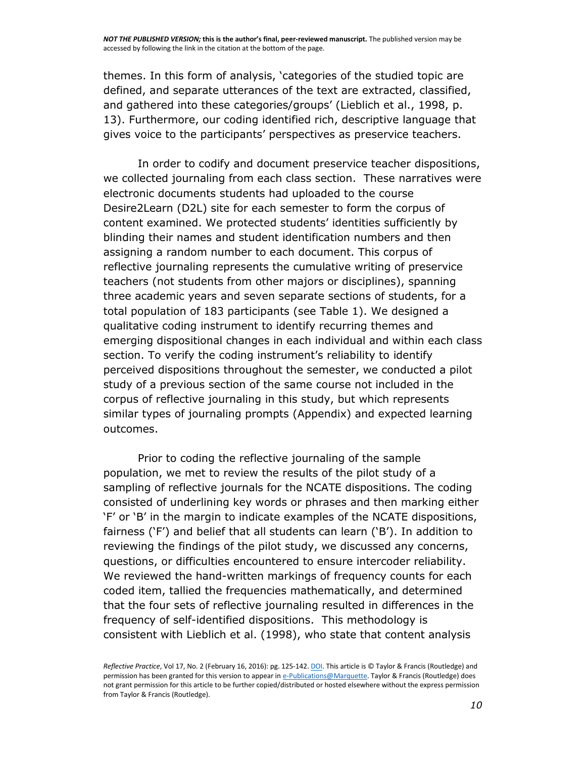themes. In this form of analysis, 'categories of the studied topic are defined, and separate utterances of the text are extracted, classified, and gathered into these categories/groups' (Lieblich et al., 1998, p. 13). Furthermore, our coding identified rich, descriptive language that gives voice to the participants' perspectives as preservice teachers.

In order to codify and document preservice teacher dispositions, we collected journaling from each class section. These narratives were electronic documents students had uploaded to the course Desire2Learn (D2L) site for each semester to form the corpus of content examined. We protected students' identities sufficiently by blinding their names and student identification numbers and then assigning a random number to each document. This corpus of reflective journaling represents the cumulative writing of preservice teachers (not students from other majors or disciplines), spanning three academic years and seven separate sections of students, for a total population of 183 participants (see Table 1). We designed a qualitative coding instrument to identify recurring themes and emerging dispositional changes in each individual and within each class section. To verify the coding instrument's reliability to identify perceived dispositions throughout the semester, we conducted a pilot study of a previous section of the same course not included in the corpus of reflective journaling in this study, but which represents similar types of journaling prompts (Appendix) and expected learning outcomes.

Prior to coding the reflective journaling of the sample population, we met to review the results of the pilot study of a sampling of reflective journals for the NCATE dispositions. The coding consisted of underlining key words or phrases and then marking either 'F' or 'B' in the margin to indicate examples of the NCATE dispositions, fairness ('F') and belief that all students can learn ('B'). In addition to reviewing the findings of the pilot study, we discussed any concerns, questions, or difficulties encountered to ensure intercoder reliability. We reviewed the hand-written markings of frequency counts for each coded item, tallied the frequencies mathematically, and determined that the four sets of reflective journaling resulted in differences in the frequency of self-identified dispositions. This methodology is consistent with Lieblich et al. (1998), who state that content analysis

*Reflective Practice*, Vol 17, No. 2 (February 16, 2016): pg. 125-142[. DOI.](http://dx.doi.org/10.1080/14623943.2015.1134473) This article is © Taylor & Francis (Routledge) and permission has been granted for this version to appear i[n e-Publications@Marquette.](http://epublications.marquette.edu/) Taylor & Francis (Routledge) does not grant permission for this article to be further copied/distributed or hosted elsewhere without the express permission from Taylor & Francis (Routledge).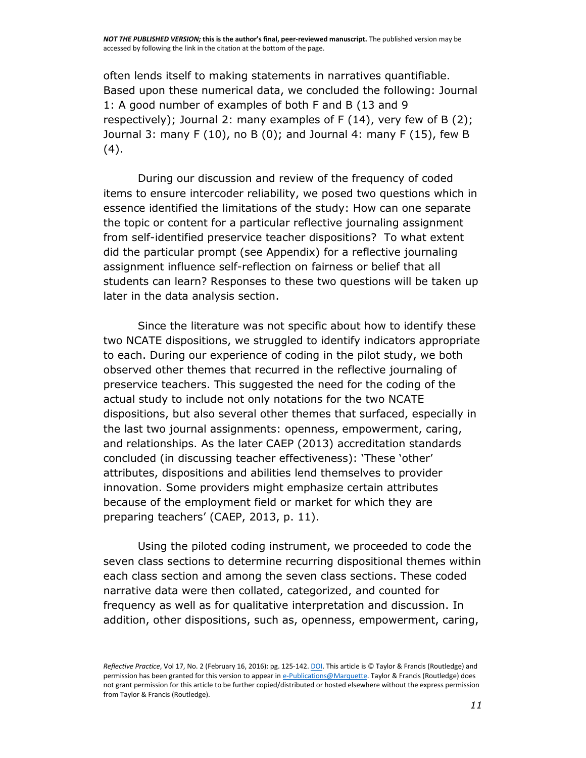often lends itself to making statements in narratives quantifiable. Based upon these numerical data, we concluded the following: Journal 1: A good number of examples of both F and B (13 and 9 respectively); Journal 2: many examples of F (14), very few of B (2); Journal 3: many  $F(10)$ , no B  $(0)$ ; and Journal 4: many  $F(15)$ , few B (4).

During our discussion and review of the frequency of coded items to ensure intercoder reliability, we posed two questions which in essence identified the limitations of the study: How can one separate the topic or content for a particular reflective journaling assignment from self-identified preservice teacher dispositions? To what extent did the particular prompt (see Appendix) for a reflective journaling assignment influence self-reflection on fairness or belief that all students can learn? Responses to these two questions will be taken up later in the data analysis section.

Since the literature was not specific about how to identify these two NCATE dispositions, we struggled to identify indicators appropriate to each. During our experience of coding in the pilot study, we both observed other themes that recurred in the reflective journaling of preservice teachers. This suggested the need for the coding of the actual study to include not only notations for the two NCATE dispositions, but also several other themes that surfaced, especially in the last two journal assignments: openness, empowerment, caring, and relationships. As the later CAEP (2013) accreditation standards concluded (in discussing teacher effectiveness): 'These 'other' attributes, dispositions and abilities lend themselves to provider innovation. Some providers might emphasize certain attributes because of the employment field or market for which they are preparing teachers' (CAEP, 2013, p. 11).

Using the piloted coding instrument, we proceeded to code the seven class sections to determine recurring dispositional themes within each class section and among the seven class sections. These coded narrative data were then collated, categorized, and counted for frequency as well as for qualitative interpretation and discussion. In addition, other dispositions, such as, openness, empowerment, caring,

*Reflective Practice*, Vol 17, No. 2 (February 16, 2016): pg. 125-142[. DOI.](http://dx.doi.org/10.1080/14623943.2015.1134473) This article is © Taylor & Francis (Routledge) and permission has been granted for this version to appear i[n e-Publications@Marquette.](http://epublications.marquette.edu/) Taylor & Francis (Routledge) does not grant permission for this article to be further copied/distributed or hosted elsewhere without the express permission from Taylor & Francis (Routledge).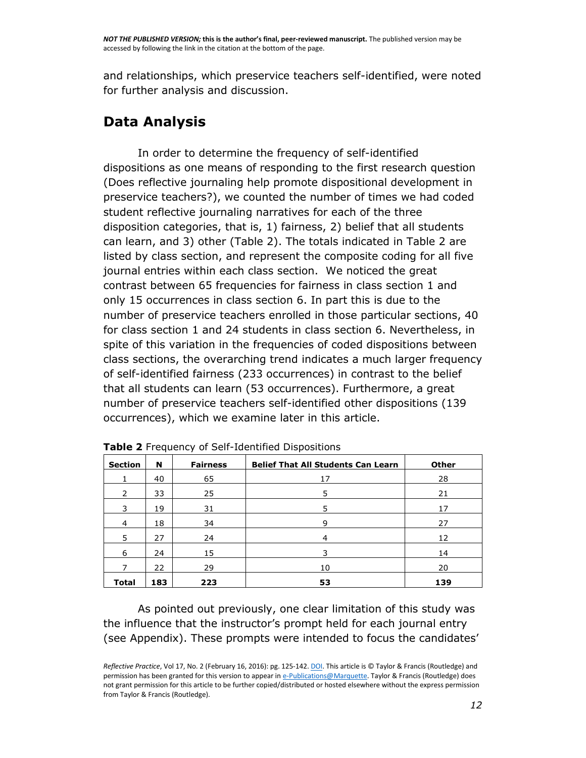and relationships, which preservice teachers self-identified, were noted for further analysis and discussion.

## **Data Analysis**

In order to determine the frequency of self-identified dispositions as one means of responding to the first research question (Does reflective journaling help promote dispositional development in preservice teachers?), we counted the number of times we had coded student reflective journaling narratives for each of the three disposition categories, that is, 1) fairness, 2) belief that all students can learn, and 3) other (Table 2). The totals indicated in Table 2 are listed by class section, and represent the composite coding for all five journal entries within each class section. We noticed the great contrast between 65 frequencies for fairness in class section 1 and only 15 occurrences in class section 6. In part this is due to the number of preservice teachers enrolled in those particular sections, 40 for class section 1 and 24 students in class section 6. Nevertheless, in spite of this variation in the frequencies of coded dispositions between class sections, the overarching trend indicates a much larger frequency of self-identified fairness (233 occurrences) in contrast to the belief that all students can learn (53 occurrences). Furthermore, a great number of preservice teachers self-identified other dispositions (139 occurrences), which we examine later in this article.

| <b>Section</b> | N   | <b>Fairness</b> | <b>Belief That All Students Can Learn</b> | <b>Other</b> |
|----------------|-----|-----------------|-------------------------------------------|--------------|
|                | 40  | 65              | 17                                        | 28           |
| 2              | 33  | 25              | 5                                         | 21           |
| 3              | 19  | 31              | 5                                         | 17           |
| 4              | 18  | 34              | 9                                         | 27           |
| 5              | 27  | 24              | 4                                         | 12           |
| 6              | 24  | 15              |                                           | 14           |
|                | 22  | 29              | 10                                        | 20           |
| <b>Total</b>   | 183 | 223             | 53                                        | 139          |

**Table 2** Frequency of Self-Identified Dispositions

As pointed out previously, one clear limitation of this study was the influence that the instructor's prompt held for each journal entry (see Appendix). These prompts were intended to focus the candidates'

*Reflective Practice*, Vol 17, No. 2 (February 16, 2016): pg. 125-142[. DOI.](http://dx.doi.org/10.1080/14623943.2015.1134473) This article is © Taylor & Francis (Routledge) and permission has been granted for this version to appear i[n e-Publications@Marquette.](http://epublications.marquette.edu/) Taylor & Francis (Routledge) does not grant permission for this article to be further copied/distributed or hosted elsewhere without the express permission from Taylor & Francis (Routledge).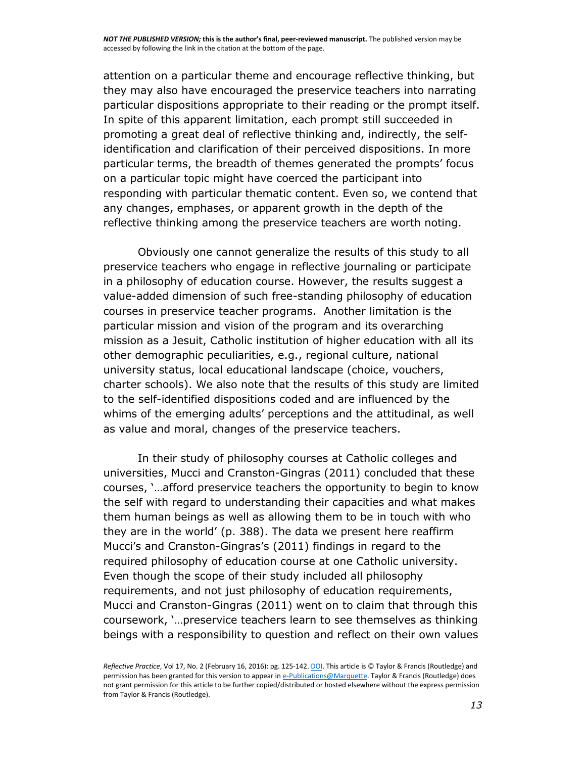attention on a particular theme and encourage reflective thinking, but they may also have encouraged the preservice teachers into narrating particular dispositions appropriate to their reading or the prompt itself. In spite of this apparent limitation, each prompt still succeeded in promoting a great deal of reflective thinking and, indirectly, the selfidentification and clarification of their perceived dispositions. In more particular terms, the breadth of themes generated the prompts' focus on a particular topic might have coerced the participant into responding with particular thematic content. Even so, we contend that any changes, emphases, or apparent growth in the depth of the reflective thinking among the preservice teachers are worth noting.

Obviously one cannot generalize the results of this study to all preservice teachers who engage in reflective journaling or participate in a philosophy of education course. However, the results suggest a value-added dimension of such free-standing philosophy of education courses in preservice teacher programs. Another limitation is the particular mission and vision of the program and its overarching mission as a Jesuit, Catholic institution of higher education with all its other demographic peculiarities, e.g., regional culture, national university status, local educational landscape (choice, vouchers, charter schools). We also note that the results of this study are limited to the self-identified dispositions coded and are influenced by the whims of the emerging adults' perceptions and the attitudinal, as well as value and moral, changes of the preservice teachers.

In their study of philosophy courses at Catholic colleges and universities, Mucci and Cranston-Gingras (2011) concluded that these courses, '…afford preservice teachers the opportunity to begin to know the self with regard to understanding their capacities and what makes them human beings as well as allowing them to be in touch with who they are in the world' (p. 388). The data we present here reaffirm Mucci's and Cranston-Gingras's (2011) findings in regard to the required philosophy of education course at one Catholic university. Even though the scope of their study included all philosophy requirements, and not just philosophy of education requirements, Mucci and Cranston-Gingras (2011) went on to claim that through this coursework, '…preservice teachers learn to see themselves as thinking beings with a responsibility to question and reflect on their own values

*Reflective Practice*, Vol 17, No. 2 (February 16, 2016): pg. 125-142[. DOI.](http://dx.doi.org/10.1080/14623943.2015.1134473) This article is © Taylor & Francis (Routledge) and permission has been granted for this version to appear i[n e-Publications@Marquette.](http://epublications.marquette.edu/) Taylor & Francis (Routledge) does not grant permission for this article to be further copied/distributed or hosted elsewhere without the express permission from Taylor & Francis (Routledge).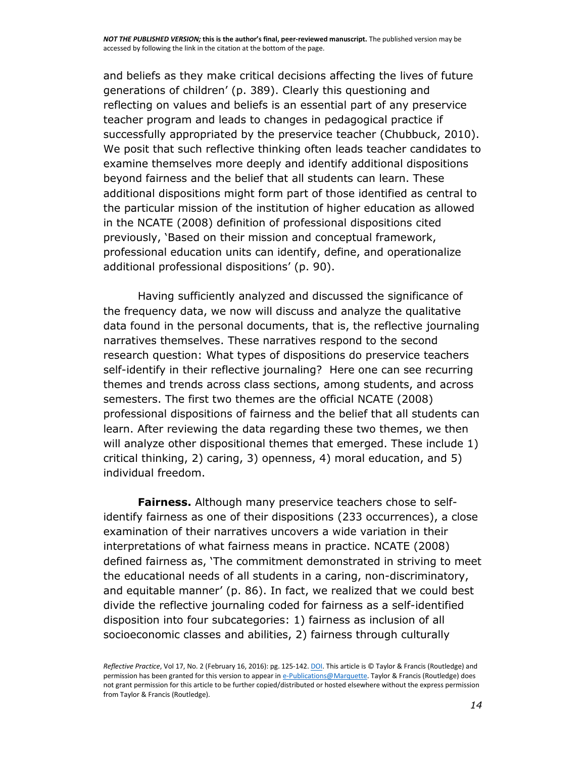and beliefs as they make critical decisions affecting the lives of future generations of children' (p. 389). Clearly this questioning and reflecting on values and beliefs is an essential part of any preservice teacher program and leads to changes in pedagogical practice if successfully appropriated by the preservice teacher (Chubbuck, 2010). We posit that such reflective thinking often leads teacher candidates to examine themselves more deeply and identify additional dispositions beyond fairness and the belief that all students can learn. These additional dispositions might form part of those identified as central to the particular mission of the institution of higher education as allowed in the NCATE (2008) definition of professional dispositions cited previously, 'Based on their mission and conceptual framework, professional education units can identify, define, and operationalize additional professional dispositions' (p. 90).

Having sufficiently analyzed and discussed the significance of the frequency data, we now will discuss and analyze the qualitative data found in the personal documents, that is, the reflective journaling narratives themselves. These narratives respond to the second research question: What types of dispositions do preservice teachers self-identify in their reflective journaling? Here one can see recurring themes and trends across class sections, among students, and across semesters. The first two themes are the official NCATE (2008) professional dispositions of fairness and the belief that all students can learn. After reviewing the data regarding these two themes, we then will analyze other dispositional themes that emerged. These include 1) critical thinking, 2) caring, 3) openness, 4) moral education, and 5) individual freedom.

**Fairness.** Although many preservice teachers chose to selfidentify fairness as one of their dispositions (233 occurrences), a close examination of their narratives uncovers a wide variation in their interpretations of what fairness means in practice. NCATE (2008) defined fairness as, 'The commitment demonstrated in striving to meet the educational needs of all students in a caring, non-discriminatory, and equitable manner' (p. 86). In fact, we realized that we could best divide the reflective journaling coded for fairness as a self-identified disposition into four subcategories: 1) fairness as inclusion of all socioeconomic classes and abilities, 2) fairness through culturally

*Reflective Practice*, Vol 17, No. 2 (February 16, 2016): pg. 125-142[. DOI.](http://dx.doi.org/10.1080/14623943.2015.1134473) This article is © Taylor & Francis (Routledge) and permission has been granted for this version to appear i[n e-Publications@Marquette.](http://epublications.marquette.edu/) Taylor & Francis (Routledge) does not grant permission for this article to be further copied/distributed or hosted elsewhere without the express permission from Taylor & Francis (Routledge).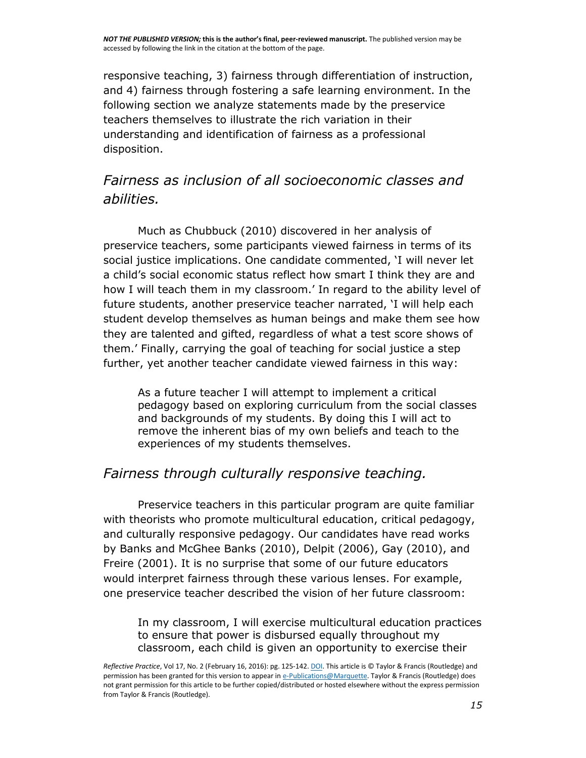responsive teaching, 3) fairness through differentiation of instruction, and 4) fairness through fostering a safe learning environment. In the following section we analyze statements made by the preservice teachers themselves to illustrate the rich variation in their understanding and identification of fairness as a professional disposition.

## *Fairness as inclusion of all socioeconomic classes and abilities.*

Much as Chubbuck (2010) discovered in her analysis of preservice teachers, some participants viewed fairness in terms of its social justice implications. One candidate commented, 'I will never let a child's social economic status reflect how smart I think they are and how I will teach them in my classroom.' In regard to the ability level of future students, another preservice teacher narrated, 'I will help each student develop themselves as human beings and make them see how they are talented and gifted, regardless of what a test score shows of them.' Finally, carrying the goal of teaching for social justice a step further, yet another teacher candidate viewed fairness in this way:

As a future teacher I will attempt to implement a critical pedagogy based on exploring curriculum from the social classes and backgrounds of my students. By doing this I will act to remove the inherent bias of my own beliefs and teach to the experiences of my students themselves.

#### *Fairness through culturally responsive teaching.*

Preservice teachers in this particular program are quite familiar with theorists who promote multicultural education, critical pedagogy, and culturally responsive pedagogy. Our candidates have read works by Banks and McGhee Banks (2010), Delpit (2006), Gay (2010), and Freire (2001). It is no surprise that some of our future educators would interpret fairness through these various lenses. For example, one preservice teacher described the vision of her future classroom:

In my classroom, I will exercise multicultural education practices to ensure that power is disbursed equally throughout my classroom, each child is given an opportunity to exercise their

*Reflective Practice*, Vol 17, No. 2 (February 16, 2016): pg. 125-142[. DOI.](http://dx.doi.org/10.1080/14623943.2015.1134473) This article is © Taylor & Francis (Routledge) and permission has been granted for this version to appear i[n e-Publications@Marquette.](http://epublications.marquette.edu/) Taylor & Francis (Routledge) does not grant permission for this article to be further copied/distributed or hosted elsewhere without the express permission from Taylor & Francis (Routledge).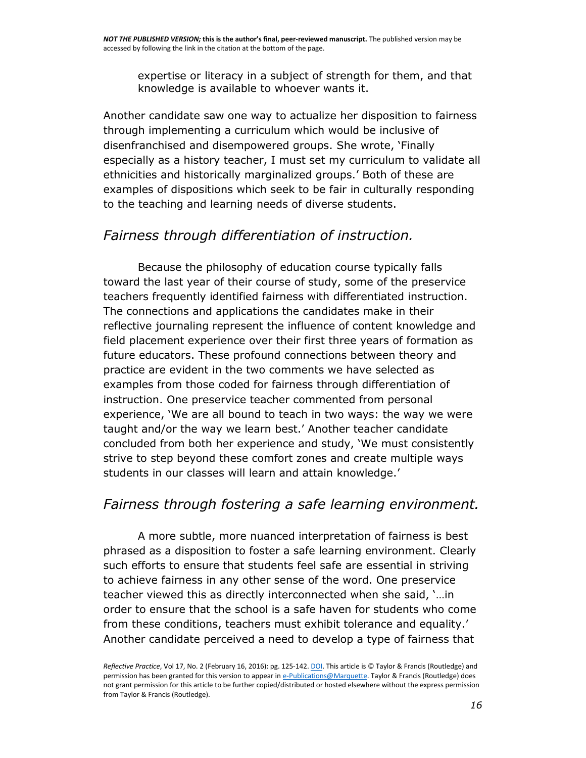expertise or literacy in a subject of strength for them, and that knowledge is available to whoever wants it.

Another candidate saw one way to actualize her disposition to fairness through implementing a curriculum which would be inclusive of disenfranchised and disempowered groups. She wrote, 'Finally especially as a history teacher, I must set my curriculum to validate all ethnicities and historically marginalized groups.' Both of these are examples of dispositions which seek to be fair in culturally responding to the teaching and learning needs of diverse students.

#### *Fairness through differentiation of instruction.*

Because the philosophy of education course typically falls toward the last year of their course of study, some of the preservice teachers frequently identified fairness with differentiated instruction. The connections and applications the candidates make in their reflective journaling represent the influence of content knowledge and field placement experience over their first three years of formation as future educators. These profound connections between theory and practice are evident in the two comments we have selected as examples from those coded for fairness through differentiation of instruction. One preservice teacher commented from personal experience, 'We are all bound to teach in two ways: the way we were taught and/or the way we learn best.' Another teacher candidate concluded from both her experience and study, 'We must consistently strive to step beyond these comfort zones and create multiple ways students in our classes will learn and attain knowledge.'

## *Fairness through fostering a safe learning environment.*

A more subtle, more nuanced interpretation of fairness is best phrased as a disposition to foster a safe learning environment. Clearly such efforts to ensure that students feel safe are essential in striving to achieve fairness in any other sense of the word. One preservice teacher viewed this as directly interconnected when she said, '…in order to ensure that the school is a safe haven for students who come from these conditions, teachers must exhibit tolerance and equality.' Another candidate perceived a need to develop a type of fairness that

*Reflective Practice*, Vol 17, No. 2 (February 16, 2016): pg. 125-142[. DOI.](http://dx.doi.org/10.1080/14623943.2015.1134473) This article is © Taylor & Francis (Routledge) and permission has been granted for this version to appear i[n e-Publications@Marquette.](http://epublications.marquette.edu/) Taylor & Francis (Routledge) does not grant permission for this article to be further copied/distributed or hosted elsewhere without the express permission from Taylor & Francis (Routledge).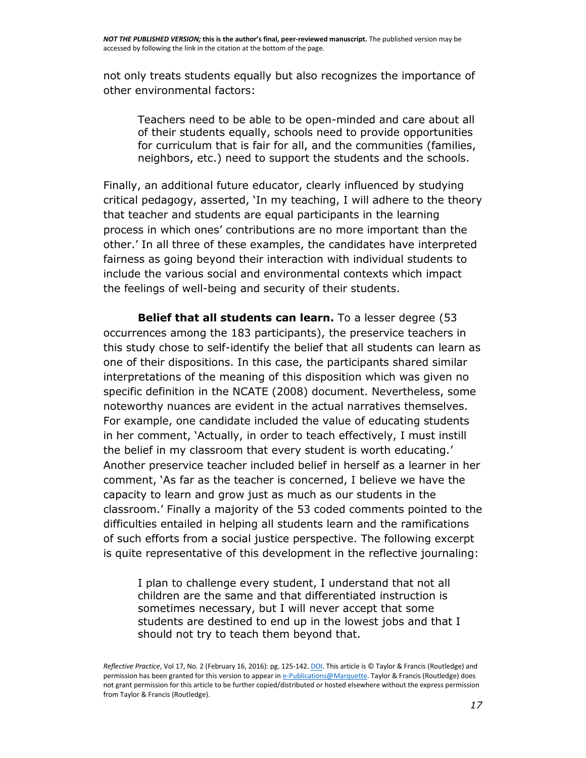not only treats students equally but also recognizes the importance of other environmental factors:

Teachers need to be able to be open-minded and care about all of their students equally, schools need to provide opportunities for curriculum that is fair for all, and the communities (families, neighbors, etc.) need to support the students and the schools.

Finally, an additional future educator, clearly influenced by studying critical pedagogy, asserted, 'In my teaching, I will adhere to the theory that teacher and students are equal participants in the learning process in which ones' contributions are no more important than the other.' In all three of these examples, the candidates have interpreted fairness as going beyond their interaction with individual students to include the various social and environmental contexts which impact the feelings of well-being and security of their students.

**Belief that all students can learn.** To a lesser degree (53 occurrences among the 183 participants), the preservice teachers in this study chose to self-identify the belief that all students can learn as one of their dispositions. In this case, the participants shared similar interpretations of the meaning of this disposition which was given no specific definition in the NCATE (2008) document. Nevertheless, some noteworthy nuances are evident in the actual narratives themselves. For example, one candidate included the value of educating students in her comment, 'Actually, in order to teach effectively, I must instill the belief in my classroom that every student is worth educating.' Another preservice teacher included belief in herself as a learner in her comment, 'As far as the teacher is concerned, I believe we have the capacity to learn and grow just as much as our students in the classroom.' Finally a majority of the 53 coded comments pointed to the difficulties entailed in helping all students learn and the ramifications of such efforts from a social justice perspective. The following excerpt is quite representative of this development in the reflective journaling:

I plan to challenge every student, I understand that not all children are the same and that differentiated instruction is sometimes necessary, but I will never accept that some students are destined to end up in the lowest jobs and that I should not try to teach them beyond that.

*Reflective Practice*, Vol 17, No. 2 (February 16, 2016): pg. 125-142[. DOI.](http://dx.doi.org/10.1080/14623943.2015.1134473) This article is © Taylor & Francis (Routledge) and permission has been granted for this version to appear i[n e-Publications@Marquette.](http://epublications.marquette.edu/) Taylor & Francis (Routledge) does not grant permission for this article to be further copied/distributed or hosted elsewhere without the express permission from Taylor & Francis (Routledge).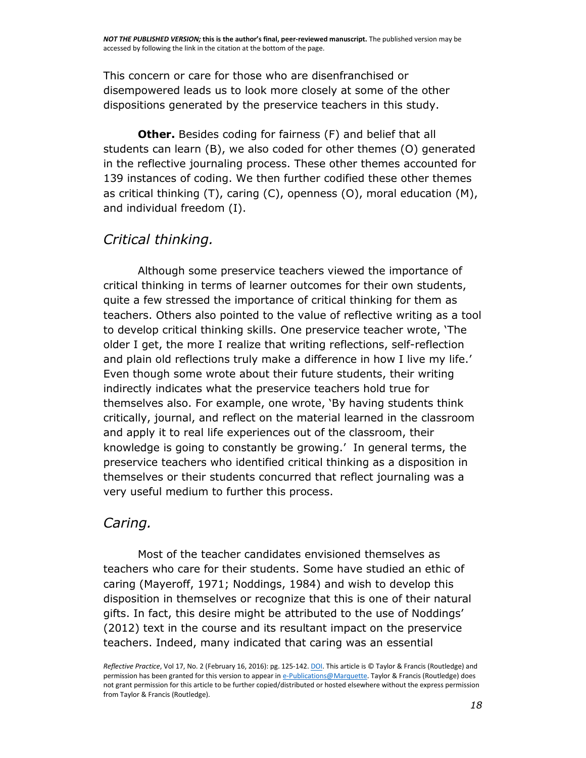This concern or care for those who are disenfranchised or disempowered leads us to look more closely at some of the other dispositions generated by the preservice teachers in this study.

**Other.** Besides coding for fairness (F) and belief that all students can learn (B), we also coded for other themes (O) generated in the reflective journaling process. These other themes accounted for 139 instances of coding. We then further codified these other themes as critical thinking (T), caring (C), openness (O), moral education (M), and individual freedom (I).

## *Critical thinking.*

Although some preservice teachers viewed the importance of critical thinking in terms of learner outcomes for their own students, quite a few stressed the importance of critical thinking for them as teachers. Others also pointed to the value of reflective writing as a tool to develop critical thinking skills. One preservice teacher wrote, 'The older I get, the more I realize that writing reflections, self-reflection and plain old reflections truly make a difference in how I live my life.' Even though some wrote about their future students, their writing indirectly indicates what the preservice teachers hold true for themselves also. For example, one wrote, 'By having students think critically, journal, and reflect on the material learned in the classroom and apply it to real life experiences out of the classroom, their knowledge is going to constantly be growing.' In general terms, the preservice teachers who identified critical thinking as a disposition in themselves or their students concurred that reflect journaling was a very useful medium to further this process.

## *Caring.*

Most of the teacher candidates envisioned themselves as teachers who care for their students. Some have studied an ethic of caring (Mayeroff, 1971; Noddings, 1984) and wish to develop this disposition in themselves or recognize that this is one of their natural gifts. In fact, this desire might be attributed to the use of Noddings' (2012) text in the course and its resultant impact on the preservice teachers. Indeed, many indicated that caring was an essential

*Reflective Practice*, Vol 17, No. 2 (February 16, 2016): pg. 125-142[. DOI.](http://dx.doi.org/10.1080/14623943.2015.1134473) This article is © Taylor & Francis (Routledge) and permission has been granted for this version to appear i[n e-Publications@Marquette.](http://epublications.marquette.edu/) Taylor & Francis (Routledge) does not grant permission for this article to be further copied/distributed or hosted elsewhere without the express permission from Taylor & Francis (Routledge).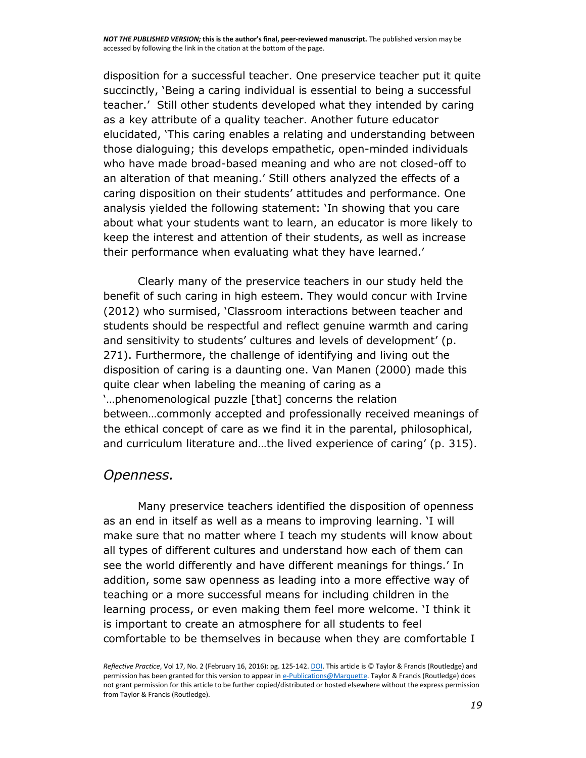disposition for a successful teacher. One preservice teacher put it quite succinctly, 'Being a caring individual is essential to being a successful teacher.' Still other students developed what they intended by caring as a key attribute of a quality teacher. Another future educator elucidated, 'This caring enables a relating and understanding between those dialoguing; this develops empathetic, open-minded individuals who have made broad-based meaning and who are not closed-off to an alteration of that meaning.' Still others analyzed the effects of a caring disposition on their students' attitudes and performance. One analysis yielded the following statement: 'In showing that you care about what your students want to learn, an educator is more likely to keep the interest and attention of their students, as well as increase their performance when evaluating what they have learned.'

Clearly many of the preservice teachers in our study held the benefit of such caring in high esteem. They would concur with Irvine (2012) who surmised, 'Classroom interactions between teacher and students should be respectful and reflect genuine warmth and caring and sensitivity to students' cultures and levels of development' (p. 271). Furthermore, the challenge of identifying and living out the disposition of caring is a daunting one. Van Manen (2000) made this quite clear when labeling the meaning of caring as a '…phenomenological puzzle [that] concerns the relation between…commonly accepted and professionally received meanings of the ethical concept of care as we find it in the parental, philosophical, and curriculum literature and…the lived experience of caring' (p. 315).

#### *Openness.*

Many preservice teachers identified the disposition of openness as an end in itself as well as a means to improving learning. 'I will make sure that no matter where I teach my students will know about all types of different cultures and understand how each of them can see the world differently and have different meanings for things.' In addition, some saw openness as leading into a more effective way of teaching or a more successful means for including children in the learning process, or even making them feel more welcome. 'I think it is important to create an atmosphere for all students to feel comfortable to be themselves in because when they are comfortable I

*Reflective Practice*, Vol 17, No. 2 (February 16, 2016): pg. 125-142[. DOI.](http://dx.doi.org/10.1080/14623943.2015.1134473) This article is © Taylor & Francis (Routledge) and permission has been granted for this version to appear i[n e-Publications@Marquette.](http://epublications.marquette.edu/) Taylor & Francis (Routledge) does not grant permission for this article to be further copied/distributed or hosted elsewhere without the express permission from Taylor & Francis (Routledge).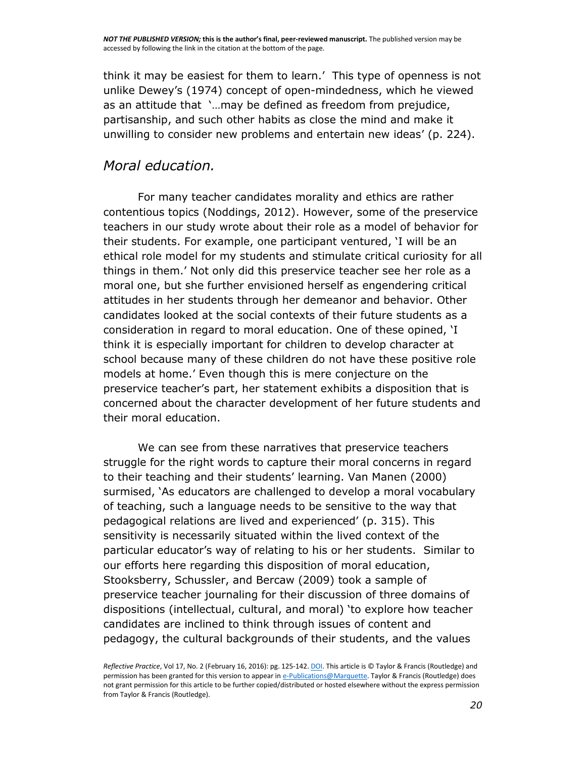think it may be easiest for them to learn.' This type of openness is not unlike Dewey's (1974) concept of open-mindedness, which he viewed as an attitude that '…may be defined as freedom from prejudice, partisanship, and such other habits as close the mind and make it unwilling to consider new problems and entertain new ideas' (p. 224).

## *Moral education.*

For many teacher candidates morality and ethics are rather contentious topics (Noddings, 2012). However, some of the preservice teachers in our study wrote about their role as a model of behavior for their students. For example, one participant ventured, 'I will be an ethical role model for my students and stimulate critical curiosity for all things in them.' Not only did this preservice teacher see her role as a moral one, but she further envisioned herself as engendering critical attitudes in her students through her demeanor and behavior. Other candidates looked at the social contexts of their future students as a consideration in regard to moral education. One of these opined, 'I think it is especially important for children to develop character at school because many of these children do not have these positive role models at home.' Even though this is mere conjecture on the preservice teacher's part, her statement exhibits a disposition that is concerned about the character development of her future students and their moral education.

We can see from these narratives that preservice teachers struggle for the right words to capture their moral concerns in regard to their teaching and their students' learning. Van Manen (2000) surmised, 'As educators are challenged to develop a moral vocabulary of teaching, such a language needs to be sensitive to the way that pedagogical relations are lived and experienced' (p. 315). This sensitivity is necessarily situated within the lived context of the particular educator's way of relating to his or her students. Similar to our efforts here regarding this disposition of moral education, Stooksberry, Schussler, and Bercaw (2009) took a sample of preservice teacher journaling for their discussion of three domains of dispositions (intellectual, cultural, and moral) 'to explore how teacher candidates are inclined to think through issues of content and pedagogy, the cultural backgrounds of their students, and the values

*Reflective Practice*, Vol 17, No. 2 (February 16, 2016): pg. 125-142[. DOI.](http://dx.doi.org/10.1080/14623943.2015.1134473) This article is © Taylor & Francis (Routledge) and permission has been granted for this version to appear i[n e-Publications@Marquette.](http://epublications.marquette.edu/) Taylor & Francis (Routledge) does not grant permission for this article to be further copied/distributed or hosted elsewhere without the express permission from Taylor & Francis (Routledge).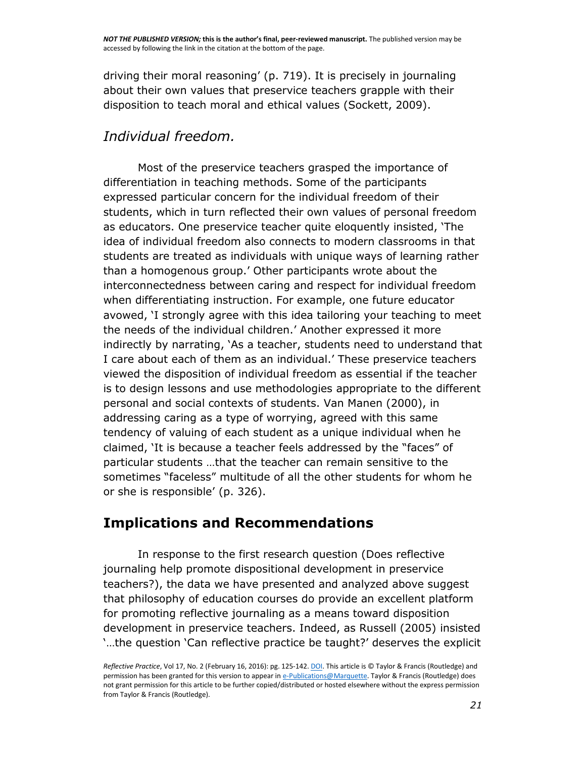driving their moral reasoning' (p. 719). It is precisely in journaling about their own values that preservice teachers grapple with their disposition to teach moral and ethical values (Sockett, 2009).

## *Individual freedom.*

Most of the preservice teachers grasped the importance of differentiation in teaching methods. Some of the participants expressed particular concern for the individual freedom of their students, which in turn reflected their own values of personal freedom as educators. One preservice teacher quite eloquently insisted, 'The idea of individual freedom also connects to modern classrooms in that students are treated as individuals with unique ways of learning rather than a homogenous group.' Other participants wrote about the interconnectedness between caring and respect for individual freedom when differentiating instruction. For example, one future educator avowed, 'I strongly agree with this idea tailoring your teaching to meet the needs of the individual children.' Another expressed it more indirectly by narrating, 'As a teacher, students need to understand that I care about each of them as an individual.' These preservice teachers viewed the disposition of individual freedom as essential if the teacher is to design lessons and use methodologies appropriate to the different personal and social contexts of students. Van Manen (2000), in addressing caring as a type of worrying, agreed with this same tendency of valuing of each student as a unique individual when he claimed, 'It is because a teacher feels addressed by the "faces" of particular students …that the teacher can remain sensitive to the sometimes "faceless" multitude of all the other students for whom he or she is responsible' (p. 326).

## **Implications and Recommendations**

In response to the first research question (Does reflective journaling help promote dispositional development in preservice teachers?), the data we have presented and analyzed above suggest that philosophy of education courses do provide an excellent platform for promoting reflective journaling as a means toward disposition development in preservice teachers. Indeed, as Russell (2005) insisted '…the question 'Can reflective practice be taught?' deserves the explicit

*Reflective Practice*, Vol 17, No. 2 (February 16, 2016): pg. 125-142[. DOI.](http://dx.doi.org/10.1080/14623943.2015.1134473) This article is © Taylor & Francis (Routledge) and permission has been granted for this version to appear i[n e-Publications@Marquette.](http://epublications.marquette.edu/) Taylor & Francis (Routledge) does not grant permission for this article to be further copied/distributed or hosted elsewhere without the express permission from Taylor & Francis (Routledge).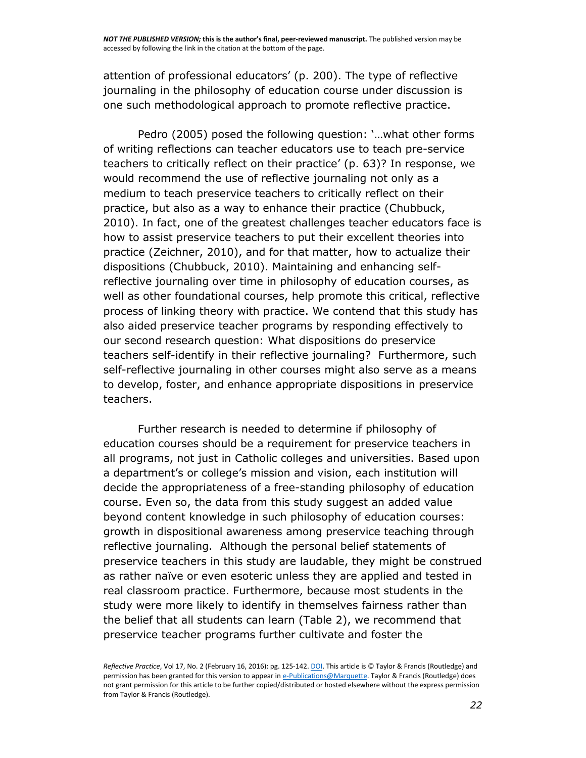attention of professional educators' (p. 200). The type of reflective journaling in the philosophy of education course under discussion is one such methodological approach to promote reflective practice.

Pedro (2005) posed the following question: '…what other forms of writing reflections can teacher educators use to teach pre-service teachers to critically reflect on their practice' (p. 63)? In response, we would recommend the use of reflective journaling not only as a medium to teach preservice teachers to critically reflect on their practice, but also as a way to enhance their practice (Chubbuck, 2010). In fact, one of the greatest challenges teacher educators face is how to assist preservice teachers to put their excellent theories into practice (Zeichner, 2010), and for that matter, how to actualize their dispositions (Chubbuck, 2010). Maintaining and enhancing selfreflective journaling over time in philosophy of education courses, as well as other foundational courses, help promote this critical, reflective process of linking theory with practice. We contend that this study has also aided preservice teacher programs by responding effectively to our second research question: What dispositions do preservice teachers self-identify in their reflective journaling? Furthermore, such self-reflective journaling in other courses might also serve as a means to develop, foster, and enhance appropriate dispositions in preservice teachers.

Further research is needed to determine if philosophy of education courses should be a requirement for preservice teachers in all programs, not just in Catholic colleges and universities. Based upon a department's or college's mission and vision, each institution will decide the appropriateness of a free-standing philosophy of education course. Even so, the data from this study suggest an added value beyond content knowledge in such philosophy of education courses: growth in dispositional awareness among preservice teaching through reflective journaling. Although the personal belief statements of preservice teachers in this study are laudable, they might be construed as rather naïve or even esoteric unless they are applied and tested in real classroom practice. Furthermore, because most students in the study were more likely to identify in themselves fairness rather than the belief that all students can learn (Table 2), we recommend that preservice teacher programs further cultivate and foster the

*Reflective Practice*, Vol 17, No. 2 (February 16, 2016): pg. 125-142[. DOI.](http://dx.doi.org/10.1080/14623943.2015.1134473) This article is © Taylor & Francis (Routledge) and permission has been granted for this version to appear i[n e-Publications@Marquette.](http://epublications.marquette.edu/) Taylor & Francis (Routledge) does not grant permission for this article to be further copied/distributed or hosted elsewhere without the express permission from Taylor & Francis (Routledge).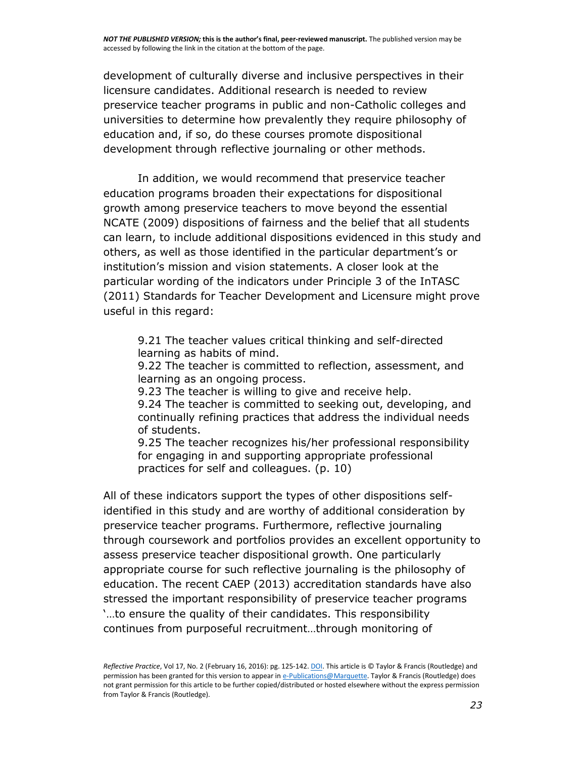development of culturally diverse and inclusive perspectives in their licensure candidates. Additional research is needed to review preservice teacher programs in public and non-Catholic colleges and universities to determine how prevalently they require philosophy of education and, if so, do these courses promote dispositional development through reflective journaling or other methods.

In addition, we would recommend that preservice teacher education programs broaden their expectations for dispositional growth among preservice teachers to move beyond the essential NCATE (2009) dispositions of fairness and the belief that all students can learn, to include additional dispositions evidenced in this study and others, as well as those identified in the particular department's or institution's mission and vision statements. A closer look at the particular wording of the indicators under Principle 3 of the InTASC (2011) Standards for Teacher Development and Licensure might prove useful in this regard:

9.21 The teacher values critical thinking and self-directed learning as habits of mind.

9.22 The teacher is committed to reflection, assessment, and learning as an ongoing process.

9.23 The teacher is willing to give and receive help.

9.24 The teacher is committed to seeking out, developing, and continually refining practices that address the individual needs of students.

9.25 The teacher recognizes his/her professional responsibility for engaging in and supporting appropriate professional practices for self and colleagues. (p. 10)

All of these indicators support the types of other dispositions selfidentified in this study and are worthy of additional consideration by preservice teacher programs. Furthermore, reflective journaling through coursework and portfolios provides an excellent opportunity to assess preservice teacher dispositional growth. One particularly appropriate course for such reflective journaling is the philosophy of education. The recent CAEP (2013) accreditation standards have also stressed the important responsibility of preservice teacher programs '…to ensure the quality of their candidates. This responsibility continues from purposeful recruitment…through monitoring of

*Reflective Practice*, Vol 17, No. 2 (February 16, 2016): pg. 125-142[. DOI.](http://dx.doi.org/10.1080/14623943.2015.1134473) This article is © Taylor & Francis (Routledge) and permission has been granted for this version to appear i[n e-Publications@Marquette.](http://epublications.marquette.edu/) Taylor & Francis (Routledge) does not grant permission for this article to be further copied/distributed or hosted elsewhere without the express permission from Taylor & Francis (Routledge).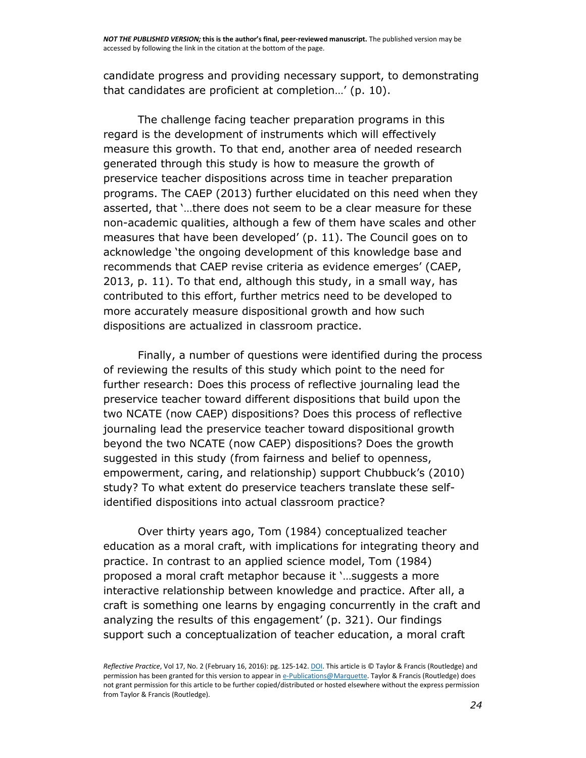candidate progress and providing necessary support, to demonstrating that candidates are proficient at completion…' (p. 10).

The challenge facing teacher preparation programs in this regard is the development of instruments which will effectively measure this growth. To that end, another area of needed research generated through this study is how to measure the growth of preservice teacher dispositions across time in teacher preparation programs. The CAEP (2013) further elucidated on this need when they asserted, that '…there does not seem to be a clear measure for these non-academic qualities, although a few of them have scales and other measures that have been developed' (p. 11). The Council goes on to acknowledge 'the ongoing development of this knowledge base and recommends that CAEP revise criteria as evidence emerges' (CAEP, 2013, p. 11). To that end, although this study, in a small way, has contributed to this effort, further metrics need to be developed to more accurately measure dispositional growth and how such dispositions are actualized in classroom practice.

Finally, a number of questions were identified during the process of reviewing the results of this study which point to the need for further research: Does this process of reflective journaling lead the preservice teacher toward different dispositions that build upon the two NCATE (now CAEP) dispositions? Does this process of reflective journaling lead the preservice teacher toward dispositional growth beyond the two NCATE (now CAEP) dispositions? Does the growth suggested in this study (from fairness and belief to openness, empowerment, caring, and relationship) support Chubbuck's (2010) study? To what extent do preservice teachers translate these selfidentified dispositions into actual classroom practice?

Over thirty years ago, Tom (1984) conceptualized teacher education as a moral craft, with implications for integrating theory and practice. In contrast to an applied science model, Tom (1984) proposed a moral craft metaphor because it '…suggests a more interactive relationship between knowledge and practice. After all, a craft is something one learns by engaging concurrently in the craft and analyzing the results of this engagement' (p. 321). Our findings support such a conceptualization of teacher education, a moral craft

*Reflective Practice*, Vol 17, No. 2 (February 16, 2016): pg. 125-142[. DOI.](http://dx.doi.org/10.1080/14623943.2015.1134473) This article is © Taylor & Francis (Routledge) and permission has been granted for this version to appear i[n e-Publications@Marquette.](http://epublications.marquette.edu/) Taylor & Francis (Routledge) does not grant permission for this article to be further copied/distributed or hosted elsewhere without the express permission from Taylor & Francis (Routledge).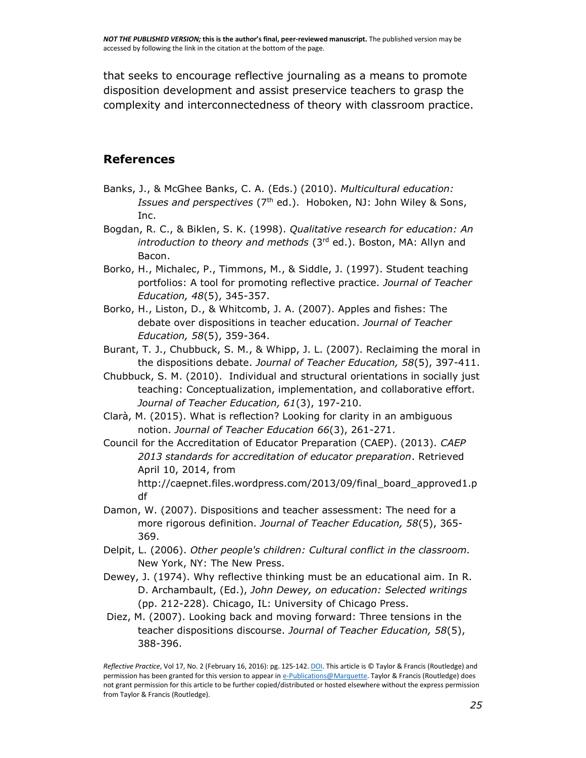that seeks to encourage reflective journaling as a means to promote disposition development and assist preservice teachers to grasp the complexity and interconnectedness of theory with classroom practice.

#### **References**

- Banks, J., & McGhee Banks, C. A. (Eds.) (2010). *Multicultural education: Issues and perspectives* (7<sup>th</sup> ed.). Hoboken, NJ: John Wiley & Sons, Inc.
- Bogdan, R. C., & Biklen, S. K. (1998). *Qualitative research for education: An introduction to theory and methods* (3<sup>rd</sup> ed.). Boston, MA: Allyn and Bacon.
- Borko, H., Michalec, P., Timmons, M., & Siddle, J. (1997). Student teaching portfolios: A tool for promoting reflective practice. *Journal of Teacher Education, 48*(5), 345-357.
- Borko, H., Liston, D., & Whitcomb, J. A. (2007). Apples and fishes: The debate over dispositions in teacher education. *Journal of Teacher Education, 58*(5), 359-364.
- Burant, T. J., Chubbuck, S. M., & Whipp, J. L. (2007). Reclaiming the moral in the dispositions debate. *Journal of Teacher Education, 58*(5), 397-411.
- Chubbuck, S. M. (2010). Individual and structural orientations in socially just teaching: Conceptualization, implementation, and collaborative effort. *Journal of Teacher Education, 61*(3), 197-210.
- Clarà, M. (2015). What is reflection? Looking for clarity in an ambiguous notion. *Journal of Teacher Education 66*(3), 261-271.
- Council for the Accreditation of Educator Preparation (CAEP). (2013). *CAEP 2013 standards for accreditation of educator preparation*. Retrieved April 10, 2014, from

http://caepnet.files.wordpress.com/2013/09/final\_board\_approved1.p df

- Damon, W. (2007). Dispositions and teacher assessment: The need for a more rigorous definition. *Journal of Teacher Education, 58*(5), 365- 369.
- Delpit, L. (2006). *Other people's children: Cultural conflict in the classroom.* New York, NY: The New Press.
- Dewey, J. (1974). Why reflective thinking must be an educational aim. In R. D. Archambault, (Ed.), *John Dewey, on education: Selected writings* (pp. 212-228)*.* Chicago, IL: University of Chicago Press.
- Diez, M. (2007). Looking back and moving forward: Three tensions in the teacher dispositions discourse. *Journal of Teacher Education, 58*(5), 388-396.

*Reflective Practice*, Vol 17, No. 2 (February 16, 2016): pg. 125-142[. DOI.](http://dx.doi.org/10.1080/14623943.2015.1134473) This article is © Taylor & Francis (Routledge) and permission has been granted for this version to appear i[n e-Publications@Marquette.](http://epublications.marquette.edu/) Taylor & Francis (Routledge) does not grant permission for this article to be further copied/distributed or hosted elsewhere without the express permission from Taylor & Francis (Routledge).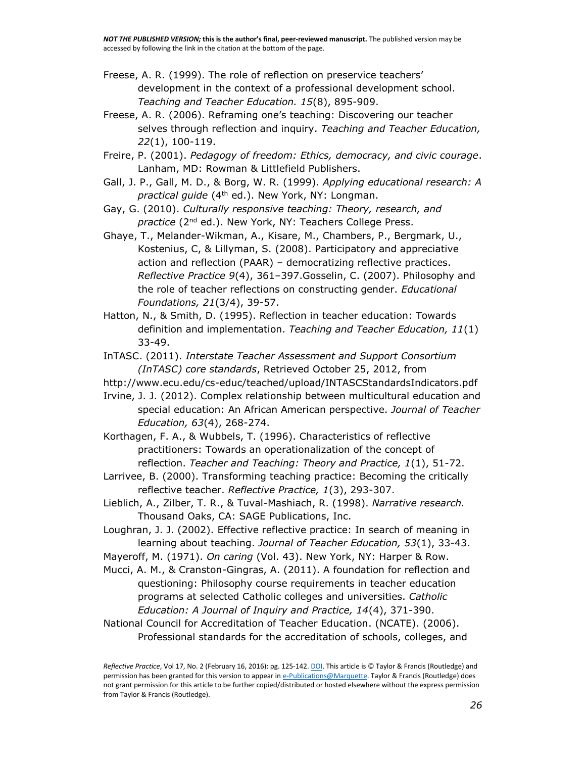- Freese, A. R. (1999). The role of reflection on preservice teachers' development in the context of a professional development school. *Teaching and Teacher Education. 15*(8), 895-909.
- Freese, A. R. (2006). Reframing one's teaching: Discovering our teacher selves through reflection and inquiry. *Teaching and Teacher Education, 22*(1), 100-119.
- Freire, P. (2001). *Pedagogy of freedom: Ethics, democracy, and civic courage*. Lanham, MD: Rowman & Littlefield Publishers.
- Gall, J. P., Gall, M. D., & Borg, W. R. (1999). *Applying educational research: A practical guide* (4th ed.). New York, NY: Longman.
- Gay, G. (2010). *Culturally responsive teaching: Theory, research, and*  practice (2<sup>nd</sup> ed.). New York, NY: Teachers College Press.
- Ghaye, T., Melander-Wikman, A., Kisare, M., Chambers, P., Bergmark, U., Kostenius, C, & Lillyman, S. (2008). Participatory and appreciative action and reflection (PAAR) – democratizing reflective practices. *Reflective Practice 9*(4), 361–397.Gosselin, C. (2007). Philosophy and the role of teacher reflections on constructing gender. *Educational Foundations, 21*(3/4), 39-57.
- Hatton, N., & Smith, D. (1995). Reflection in teacher education: Towards definition and implementation. *Teaching and Teacher Education, 11*(1) 33-49.
- InTASC. (2011). *Interstate Teacher Assessment and Support Consortium (InTASC) core standards*, Retrieved October 25, 2012, from
- http://www.ecu.edu/cs-educ/teached/upload/INTASCStandardsIndicators.pdf
- Irvine, J. J. (2012). Complex relationship between multicultural education and special education: An African American perspective. *Journal of Teacher Education, 63*(4), 268-274.
- Korthagen, F. A., & Wubbels, T. (1996). Characteristics of reflective practitioners: Towards an operationalization of the concept of reflection. *Teacher and Teaching: Theory and Practice, 1*(1), 51-72.
- Larrivee, B. (2000). Transforming teaching practice: Becoming the critically reflective teacher. *Reflective Practice, 1*(3), 293-307.
- Lieblich, A., Zilber, T. R., & Tuval-Mashiach, R. (1998). *Narrative research.* Thousand Oaks, CA: SAGE Publications, Inc.

Loughran, J. J. (2002). Effective reflective practice: In search of meaning in learning about teaching. *Journal of Teacher Education, 53*(1), 33-43.

```
Mayeroff, M. (1971). On caring (Vol. 43). New York, NY: Harper & Row.
```
- Mucci, A. M., & Cranston-Gingras, A. (2011). A foundation for reflection and questioning: Philosophy course requirements in teacher education programs at selected Catholic colleges and universities. *Catholic Education: A Journal of Inquiry and Practice, 14*(4), 371-390.
- National Council for Accreditation of Teacher Education. (NCATE). (2006). Professional standards for the accreditation of schools, colleges, and

*Reflective Practice*, Vol 17, No. 2 (February 16, 2016): pg. 125-142[. DOI.](http://dx.doi.org/10.1080/14623943.2015.1134473) This article is © Taylor & Francis (Routledge) and permission has been granted for this version to appear i[n e-Publications@Marquette.](http://epublications.marquette.edu/) Taylor & Francis (Routledge) does not grant permission for this article to be further copied/distributed or hosted elsewhere without the express permission from Taylor & Francis (Routledge).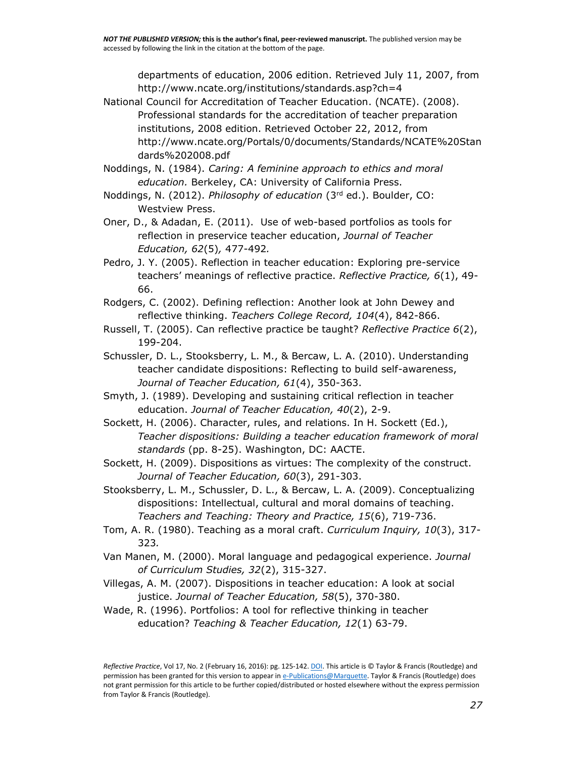departments of education, 2006 edition. Retrieved July 11, 2007, from http://www.ncate.org/institutions/standards.asp?ch=4

- National Council for Accreditation of Teacher Education. (NCATE). (2008). Professional standards for the accreditation of teacher preparation institutions, 2008 edition. Retrieved October 22, 2012, from http://www.ncate.org/Portals/0/documents/Standards/NCATE%20Stan dards%202008.pdf
- Noddings, N. (1984). *Caring: A feminine approach to ethics and moral education.* Berkeley, CA: University of California Press.
- Noddings, N. (2012). *Philosophy of education* (3rd ed.). Boulder, CO: Westview Press.
- Oner, D., & Adadan, E. (2011). Use of web-based portfolios as tools for reflection in preservice teacher education, *Journal of Teacher Education, 62*(5)*,* 477-492*.*
- Pedro, J. Y. (2005). Reflection in teacher education: Exploring pre-service teachers' meanings of reflective practice. *Reflective Practice, 6*(1), 49- 66.
- Rodgers, C. (2002). Defining reflection: Another look at John Dewey and reflective thinking. *Teachers College Record, 104*(4), 842-866.
- Russell, T. (2005). Can reflective practice be taught? *Reflective Practice 6*(2), 199-204.
- Schussler, D. L., Stooksberry, L. M., & Bercaw, L. A. (2010). Understanding teacher candidate dispositions: Reflecting to build self-awareness, *Journal of Teacher Education, 61*(4), 350-363.
- Smyth, J. (1989). Developing and sustaining critical reflection in teacher education. *Journal of Teacher Education, 40*(2), 2-9.
- Sockett, H. (2006). Character, rules, and relations. In H. Sockett (Ed.), *Teacher dispositions: Building a teacher education framework of moral standards* (pp. 8-25). Washington, DC: AACTE.
- Sockett, H. (2009). Dispositions as virtues: The complexity of the construct. *Journal of Teacher Education, 60*(3), 291-303.
- Stooksberry, L. M., Schussler, D. L., & Bercaw, L. A. (2009). Conceptualizing dispositions: Intellectual, cultural and moral domains of teaching. *Teachers and Teaching: Theory and Practice, 15*(6), 719-736.
- Tom, A. R. (1980). Teaching as a moral craft. *Curriculum Inquiry, 10*(3), 317- 323*.*
- Van Manen, M. (2000). Moral language and pedagogical experience. *Journal of Curriculum Studies, 32*(2), 315-327.
- Villegas, A. M. (2007). Dispositions in teacher education: A look at social justice. *Journal of Teacher Education, 58*(5), 370-380.
- Wade, R. (1996). Portfolios: A tool for reflective thinking in teacher education? *Teaching & Teacher Education, 12*(1) 63-79.

*Reflective Practice*, Vol 17, No. 2 (February 16, 2016): pg. 125-142[. DOI.](http://dx.doi.org/10.1080/14623943.2015.1134473) This article is © Taylor & Francis (Routledge) and permission has been granted for this version to appear i[n e-Publications@Marquette.](http://epublications.marquette.edu/) Taylor & Francis (Routledge) does not grant permission for this article to be further copied/distributed or hosted elsewhere without the express permission from Taylor & Francis (Routledge).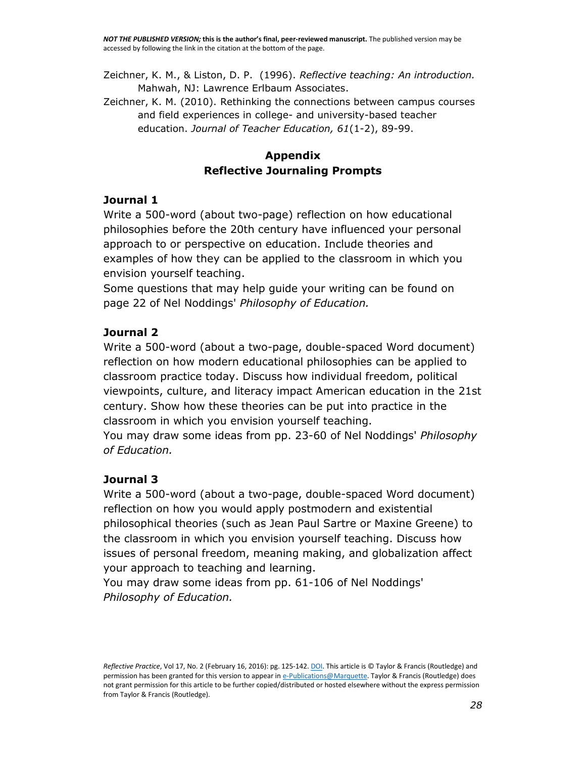- Zeichner, K. M., & Liston, D. P. (1996). *Reflective teaching: An introduction.*  Mahwah, NJ: Lawrence Erlbaum Associates.
- Zeichner, K. M. (2010). Rethinking the connections between campus courses and field experiences in college- and university-based teacher education. *Journal of Teacher Education, 61*(1-2), 89-99.

#### **Appendix Reflective Journaling Prompts**

#### **Journal 1**

Write a 500-word (about two-page) reflection on how educational philosophies before the 20th century have influenced your personal approach to or perspective on education. Include theories and examples of how they can be applied to the classroom in which you envision yourself teaching.

Some questions that may help guide your writing can be found on page 22 of Nel Noddings' *Philosophy of Education.*

#### **Journal 2**

Write a 500-word (about a two-page, double-spaced Word document) reflection on how modern educational philosophies can be applied to classroom practice today. Discuss how individual freedom, political viewpoints, culture, and literacy impact American education in the 21st century. Show how these theories can be put into practice in the classroom in which you envision yourself teaching.

You may draw some ideas from pp. 23-60 of Nel Noddings' *Philosophy of Education.*

#### **Journal 3**

Write a 500-word (about a two-page, double-spaced Word document) reflection on how you would apply postmodern and existential philosophical theories (such as Jean Paul Sartre or Maxine Greene) to the classroom in which you envision yourself teaching. Discuss how issues of personal freedom, meaning making, and globalization affect your approach to teaching and learning.

You may draw some ideas from pp. 61-106 of Nel Noddings' *Philosophy of Education.*

*Reflective Practice*, Vol 17, No. 2 (February 16, 2016): pg. 125-142[. DOI.](http://dx.doi.org/10.1080/14623943.2015.1134473) This article is © Taylor & Francis (Routledge) and permission has been granted for this version to appear i[n e-Publications@Marquette.](http://epublications.marquette.edu/) Taylor & Francis (Routledge) does not grant permission for this article to be further copied/distributed or hosted elsewhere without the express permission from Taylor & Francis (Routledge).